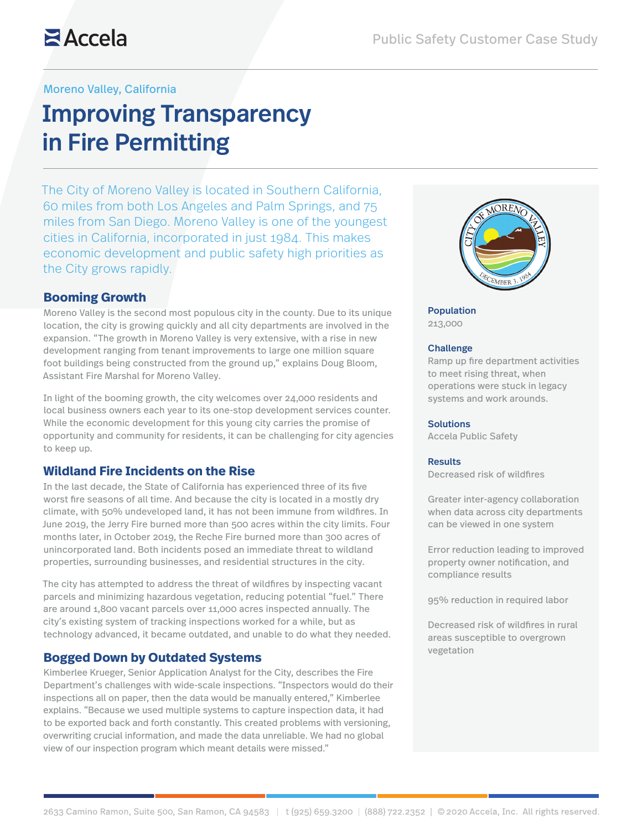# **Z**Accela

### Moreno Valley, California

# Improving Transparency in Fire Permitting

The City of Moreno Valley is located in Southern California, 60 miles from both Los Angeles and Palm Springs, and 75 miles from San Diego. Moreno Valley is one of the youngest cities in California, incorporated in just 1984. This makes economic development and public safety high priorities as the City grows rapidly.

## **Booming Growth**

Moreno Valley is the second most populous city in the county. Due to its unique location, the city is growing quickly and all city departments are involved in the expansion. "The growth in Moreno Valley is very extensive, with a rise in new development ranging from tenant improvements to large one million square foot buildings being constructed from the ground up," explains Doug Bloom, Assistant Fire Marshal for Moreno Valley.

In light of the booming growth, the city welcomes over 24,000 residents and local business owners each year to its one-stop development services counter. While the economic development for this young city carries the promise of opportunity and community for residents, it can be challenging for city agencies to keep up.

## **Wildland Fire Incidents on the Rise**

In the last decade, the State of California has experienced three of its five worst fire seasons of all time. And because the city is located in a mostly dry climate, with 50% undeveloped land, it has not been immune from wildfires. In June 2019, the Jerry Fire burned more than 500 acres within the city limits. Four months later, in October 2019, the Reche Fire burned more than 300 acres of unincorporated land. Both incidents posed an immediate threat to wildland properties, surrounding businesses, and residential structures in the city.

The city has attempted to address the threat of wildfires by inspecting vacant parcels and minimizing hazardous vegetation, reducing potential "fuel." There are around 1,800 vacant parcels over 11,000 acres inspected annually. The city's existing system of tracking inspections worked for a while, but as technology advanced, it became outdated, and unable to do what they needed.

# **Bogged Down by Outdated Systems**

Kimberlee Krueger, Senior Application Analyst for the City, describes the Fire Department's challenges with wide-scale inspections. "Inspectors would do their inspections all on paper, then the data would be manually entered," Kimberlee explains. "Because we used multiple systems to capture inspection data, it had to be exported back and forth constantly. This created problems with versioning, overwriting crucial information, and made the data unreliable. We had no global view of our inspection program which meant details were missed."



Population 213,000

#### **Challenge**

Ramp up fire department activities to meet rising threat, when operations were stuck in legacy systems and work arounds.

### **Solutions**

Accela Public Safety

#### Results

Decreased risk of wildfires

Greater inter-agency collaboration when data across city departments can be viewed in one system

Error reduction leading to improved property owner notification, and compliance results

95% reduction in required labor

Decreased risk of wildfires in rural areas susceptible to overgrown vegetation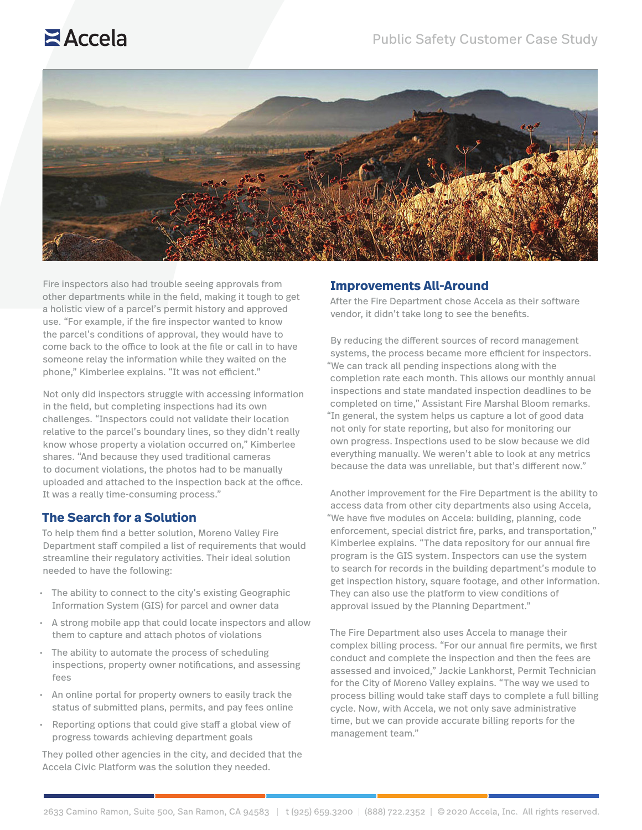# $A **CC**ela$



Fire inspectors also had trouble seeing approvals from other departments while in the field, making it tough to get a holistic view of a parcel's permit history and approved use. "For example, if the fire inspector wanted to know the parcel's conditions of approval, they would have to come back to the office to look at the file or call in to have someone relay the information while they waited on the phone," Kimberlee explains. "It was not efficient."

Not only did inspectors struggle with accessing information in the field, but completing inspections had its own challenges. "Inspectors could not validate their location relative to the parcel's boundary lines, so they didn't really know whose property a violation occurred on," Kimberlee shares. "And because they used traditional cameras to document violations, the photos had to be manually uploaded and attached to the inspection back at the office. It was a really time-consuming process."

### **The Search for a Solution**

To help them find a better solution, Moreno Valley Fire Department staff compiled a list of requirements that would streamline their regulatory activities. Their ideal solution needed to have the following:

- The ability to connect to the city's existing Geographic Information System (GIS) for parcel and owner data
- A strong mobile app that could locate inspectors and allow them to capture and attach photos of violations
- The ability to automate the process of scheduling inspections, property owner notifications, and assessing fees
- An online portal for property owners to easily track the status of submitted plans, permits, and pay fees online
- Reporting options that could give staff a global view of progress towards achieving department goals

They polled other agencies in the city, and decided that the Accela Civic Platform was the solution they needed.

### **Improvements All-Around**

After the Fire Department chose Accela as their software vendor, it didn't take long to see the benefits.

By reducing the different sources of record management systems, the process became more efficient for inspectors. "We can track all pending inspections along with the completion rate each month. This allows our monthly annual inspections and state mandated inspection deadlines to be completed on time," Assistant Fire Marshal Bloom remarks. "In general, the system helps us capture a lot of good data not only for state reporting, but also for monitoring our own progress. Inspections used to be slow because we did everything manually. We weren't able to look at any metrics because the data was unreliable, but that's different now."

Another improvement for the Fire Department is the ability to access data from other city departments also using Accela, "We have five modules on Accela: building, planning, code enforcement, special district fire, parks, and transportation," Kimberlee explains. "The data repository for our annual fire program is the GIS system. Inspectors can use the system to search for records in the building department's module to get inspection history, square footage, and other information. They can also use the platform to view conditions of approval issued by the Planning Department."

The Fire Department also uses Accela to manage their complex billing process. "For our annual fire permits, we first conduct and complete the inspection and then the fees are assessed and invoiced," Jackie Lankhorst, Permit Technician for the City of Moreno Valley explains. "The way we used to process billing would take staff days to complete a full billing cycle. Now, with Accela, we not only save administrative time, but we can provide accurate billing reports for the management team."